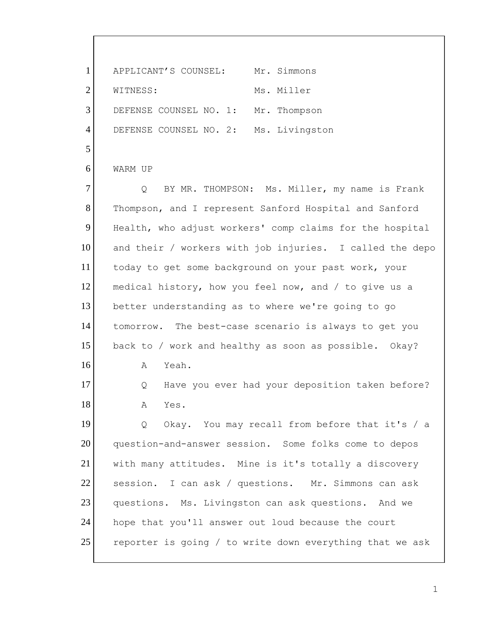1 APPLICANT'S COUNSEL: Mr. Simmons 2 WITNESS: Ms. Miller 3 DEFENSE COUNSEL NO. 1: Mr. Thompson 4 DEFENSE COUNSEL NO. 2: Ms. Livingston 5 6 WARM UP 7 | Q BY MR. THOMPSON: Ms. Miller, my name is Frank 8 Thompson, and I represent Sanford Hospital and Sanford 9 Health, who adjust workers' comp claims for the hospital 10 and their / workers with job injuries. I called the depo 11 today to get some background on your past work, your 12 medical history, how you feel now, and / to give us a 13 better understanding as to where we're going to go 14 tomorrow. The best-case scenario is always to get you 15 back to / work and healthy as soon as possible. Okay? 16 A Yeah. 17 | Q Have you ever had your deposition taken before? 18 A Yes. 19 Q Okay. You may recall from before that it's / a 20 question-and-answer session. Some folks come to depos 21 with many attitudes. Mine is it's totally a discovery 22 session. I can ask / questions. Mr. Simmons can ask 23 questions. Ms. Livingston can ask questions. And we 24 hope that you'll answer out loud because the court 25 reporter is going / to write down everything that we ask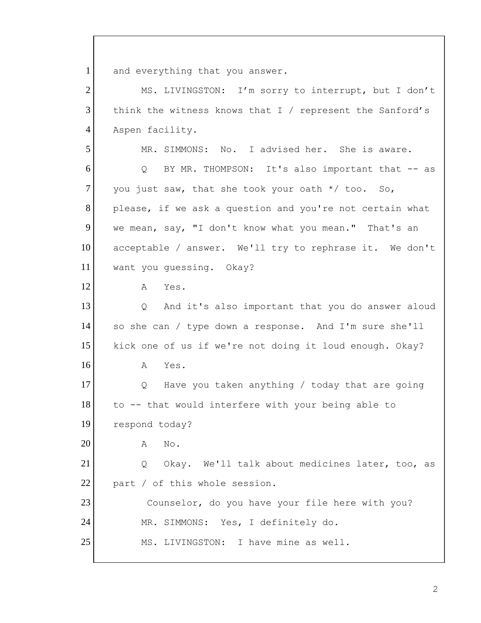1 and everything that you answer. 2 MS. LIVINGSTON: I'm sorry to interrupt, but I don't 3 think the witness knows that I / represent the Sanford's 4 Aspen facility. 5 MR. SIMMONS: No. I advised her. She is aware. 6 Q BY MR. THOMPSON: It's also important that -- as  $7$  you just saw, that she took your oath  $*/$  too. So, 8 please, if we ask a question and you're not certain what 9 we mean, say, "I don't know what you mean." That's an 10 acceptable / answer. We'll try to rephrase it. We don't 11 want you quessing. Okay? 12 A Yes. 13 Q And it's also important that you do answer aloud 14 so she can / type down a response. And I'm sure she'll 15 kick one of us if we're not doing it loud enough. Okay?  $16$  A Yes. 17 | Q Have you taken anything / today that are going 18 to -- that would interfere with your being able to 19 respond today? 20 A No.

21 Q Okay. We'll talk about medicines later, too, as 22 part / of this whole session.

23 Counselor, do you have your file here with you? 24 MR. SIMMONS: Yes, I definitely do. 25 MS. LIVINGSTON: I have mine as well.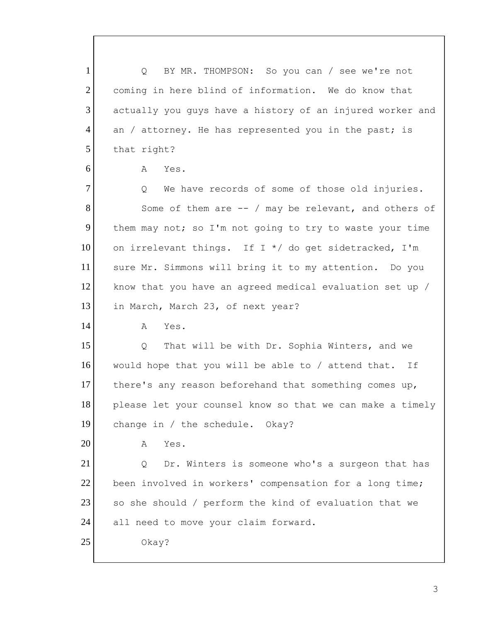| BY MR. THOMPSON: So you can / see we're not<br>Q          |
|-----------------------------------------------------------|
| coming in here blind of information. We do know that      |
| actually you guys have a history of an injured worker and |
| an / attorney. He has represented you in the past; is     |
| that right?                                               |
| Yes.<br>A                                                 |
| We have records of some of those old injuries.<br>Q       |
| Some of them are $-$ / may be relevant, and others of     |
| them may not; so I'm not going to try to waste your time  |
| on irrelevant things. If I */ do get sidetracked, I'm     |
| sure Mr. Simmons will bring it to my attention. Do you    |
| know that you have an agreed medical evaluation set up /  |
| in March, March 23, of next year?                         |
| Yes.<br>A                                                 |
| That will be with Dr. Sophia Winters, and we<br>Q         |
| would hope that you will be able to / attend that. If     |
| there's any reason beforehand that something comes up,    |
| please let your counsel know so that we can make a timely |
| change in / the schedule. Okay?                           |
| Yes.<br>Α                                                 |
| Dr. Winters is someone who's a surgeon that has<br>Q      |
| been involved in workers' compensation for a long time;   |
| so she should / perform the kind of evaluation that we    |
| all need to move your claim forward.                      |
| Okay?                                                     |
|                                                           |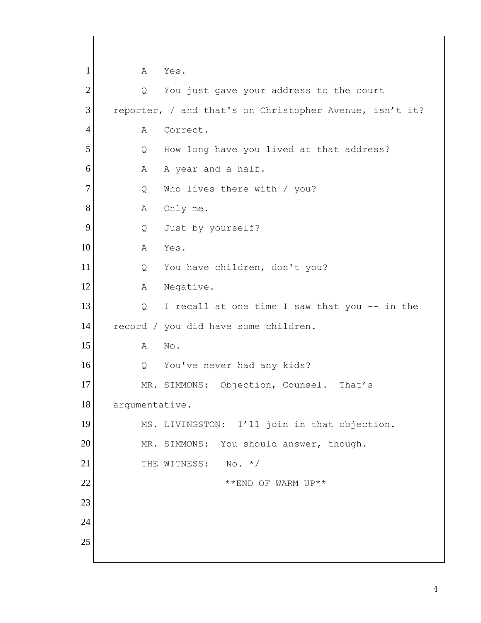1 A Yes. 2 Q You just gave your address to the court 3 reporter, / and that's on Christopher Avenue, isn't it? 4 A Correct. 5 | Q How long have you lived at that address? 6 A A year and a half. 7 Q Who lives there with / you? 8 A Only me. 9 Q Just by yourself? 10 A Yes. 11 Q You have children, don't you? 12 A Negative. 13 | Q I recall at one time I saw that you -- in the 14 record / you did have some children. 15 A No. 16 Q You've never had any kids? 17 MR. SIMMONS: Objection, Counsel. That's 18 argumentative. 19 MS. LIVINGSTON: I'll join in that objection. 20 MR. SIMMONS: You should answer, though. 21 THE WITNESS: No. \*/  $22$  \*\* END OF WARM UP\*\* 23 24 25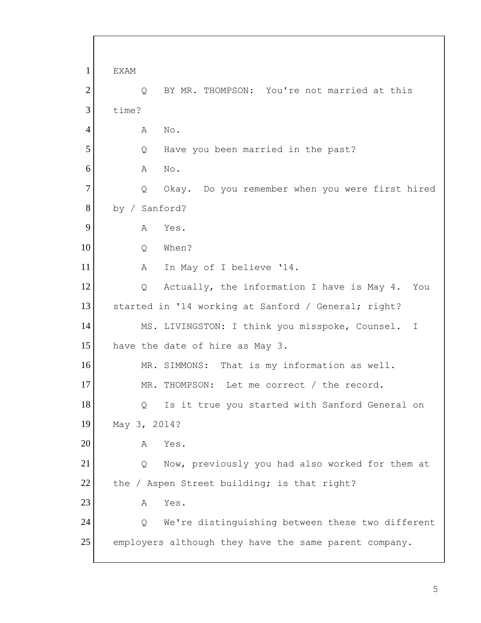1 EXAM 2 | Q BY MR. THOMPSON: You're not married at this 3 time? 4 A No. 5 Q Have you been married in the past? 6 A No. 7 | Q Okay. Do you remember when you were first hired 8 by / Sanford? 9 A Yes. 10 Q When? 11 A In May of I believe '14. 12 Q Actually, the information I have is May 4. You 13 started in '14 working at Sanford / General; right? 14 MS. LIVINGSTON: I think you misspoke, Counsel. I 15 have the date of hire as May 3. 16 MR. SIMMONS: That is my information as well. 17 MR. THOMPSON: Let me correct / the record. 18 | Q Is it true you started with Sanford General on 19 May 3, 2014? 20 A Yes. 21 Q Now, previously you had also worked for them at 22 the / Aspen Street building; is that right? 23 A Yes. 24 Q We're distinguishing between these two different 25 employers although they have the same parent company.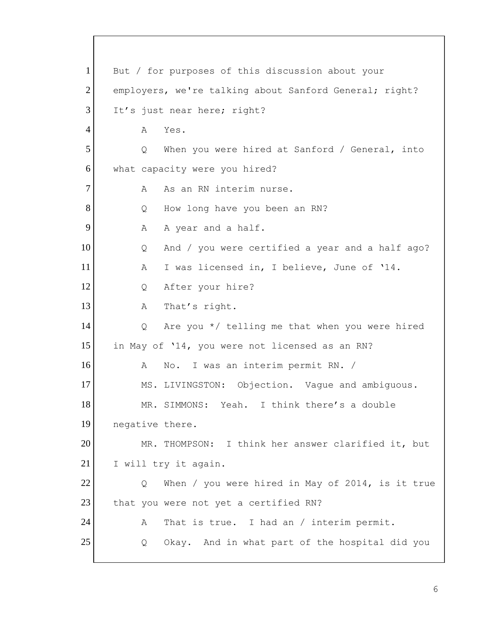1 But / for purposes of this discussion about your 2 employers, we're talking about Sanford General; right? 3 It's just near here; right? 4 A Yes. 5 | Q When you were hired at Sanford / General, into 6 what capacity were you hired? 7 A As an RN interim nurse. 8 | Q How long have you been an RN? 9 A A year and a half. 10 | Q And / you were certified a year and a half ago? 11 A I was licensed in, I believe, June of '14. 12 Q After your hire? 13 A That's right. 14  $\beta$  Are you \*/ telling me that when you were hired 15 in May of '14, you were not licensed as an RN? 16 A No. I was an interim permit RN. / 17 MS. LIVINGSTON: Objection. Vague and ambiguous. 18 MR. SIMMONS: Yeah. I think there's a double 19 negative there. 20 MR. THOMPSON: I think her answer clarified it, but 21 I will try it again. 22 Q When / you were hired in May of 2014, is it true 23 that you were not yet a certified RN? 24 A That is true. I had an / interim permit. 25 | Q Okay. And in what part of the hospital did you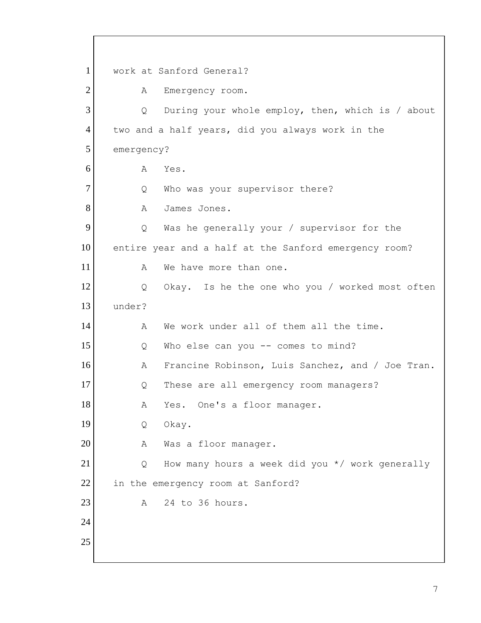1 work at Sanford General? 2 A Emergency room. 3 Q During your whole employ, then, which is / about 4 two and a half years, did you always work in the 5 emergency? 6 A Yes. 7 Q Who was your supervisor there? 8 A James Jones. 9 9 Q Was he generally your / supervisor for the 10 entire year and a half at the Sanford emergency room? 11 a We have more than one. 12 Q Okay. Is he the one who you / worked most often 13 under? 14 A We work under all of them all the time. 15 | Q Who else can you -- comes to mind? 16 A Francine Robinson, Luis Sanchez, and / Joe Tran. 17 Q These are all emergency room managers? 18 A Yes. One's a floor manager. 19 Q Okay. 20 A Was a floor manager. 21 Q How many hours a week did you \*/ work generally 22 in the emergency room at Sanford?  $23$  A 24 to 36 hours. 24 25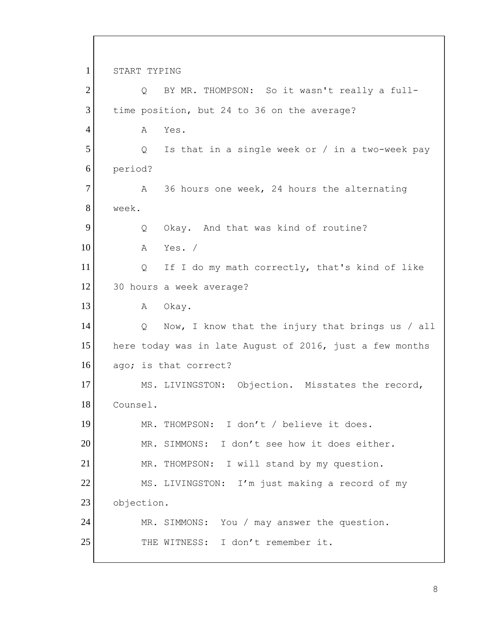1 START TYPING 2 Q BY MR. THOMPSON: So it wasn't really a full-3 time position, but 24 to 36 on the average? 4 A Yes. 5 | Q Is that in a single week or / in a two-week pay 6 period? 7 A 36 hours one week, 24 hours the alternating 8 week. 9 Q Okay. And that was kind of routine? 10 A Yes. / 11 | Q If I do my math correctly, that's kind of like 12 30 hours a week average? 13 A Okay. 14 | Q Now, I know that the injury that brings us / all 15 here today was in late August of 2016, just a few months 16 ago; is that correct? 17 MS. LIVINGSTON: Objection. Misstates the record, 18 Counsel. 19 MR. THOMPSON: I don't / believe it does. 20 MR. SIMMONS: I don't see how it does either. 21 MR. THOMPSON: I will stand by my question. 22 MS. LIVINGSTON: I'm just making a record of my 23 objection. 24 MR. SIMMONS: You / may answer the question. 25 THE WITNESS: I don't remember it.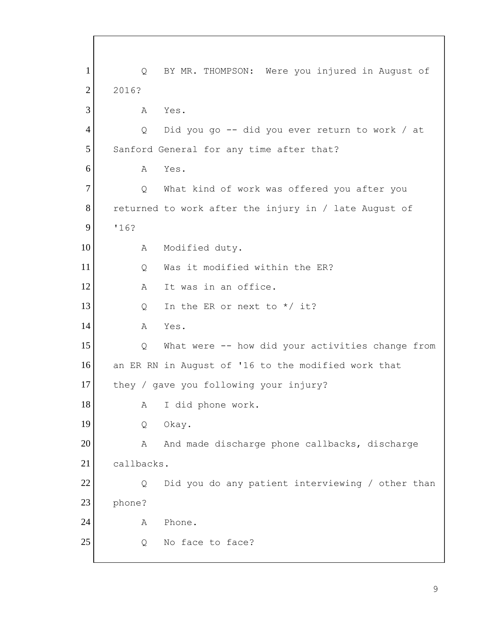1 Q BY MR. THOMPSON: Were you injured in August of 2 2016? 3 A Yes. 4 Q Did you go -- did you ever return to work / at 5 Sanford General for any time after that? 6 A Yes. 7 | Q What kind of work was offered you after you 8 returned to work after the injury in / late August of 9 '16? 10 A Modified duty. 11 O Was it modified within the ER? 12 A It was in an office. 13  $Q$  In the ER or next to  $*/$  it? 14 A Yes. 15 | Q What were -- how did your activities change from 16 an ER RN in August of '16 to the modified work that 17 they / gave you following your injury? 18 A I did phone work. 19 Q Okay. 20 A And made discharge phone callbacks, discharge 21 callbacks. 22 Q Did you do any patient interviewing / other than 23 phone? 24 A Phone. 25 Q No face to face?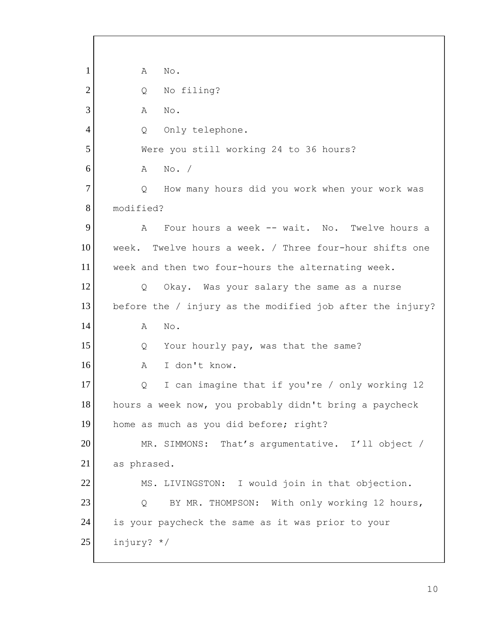| $\mathbf{1}$ | Α<br>No.                                                  |
|--------------|-----------------------------------------------------------|
| $\mathbf{2}$ | No filing?<br>Q                                           |
| 3            | No.<br>Α                                                  |
| 4            | Only telephone.<br>Q                                      |
| 5            | Were you still working 24 to 36 hours?                    |
| 6            | No. /<br>A                                                |
| $\tau$       | How many hours did you work when your work was<br>Q       |
| 8            | modified?                                                 |
| 9            | Four hours a week -- wait. No. Twelve hours a<br>A        |
| 10           | week. Twelve hours a week. / Three four-hour shifts one   |
| 11           | week and then two four-hours the alternating week.        |
| 12           | Okay. Was your salary the same as a nurse<br>Q            |
| 13           | before the / injury as the modified job after the injury? |
| 14           | No.<br>Α                                                  |
| 15           | Your hourly pay, was that the same?<br>Q                  |
| 16           | I don't know.<br>Α                                        |
| 17           | I can imagine that if you're / only working 12<br>$\cup$  |
| 18           | hours a week now, you probably didn't bring a paycheck    |
| 19           | home as much as you did before; right?                    |
| 20           | MR. SIMMONS: That's argumentative. I'll object /          |
| 21           | as phrased.                                               |
| 22           | MS. LIVINGSTON: I would join in that objection.           |
| 23           | BY MR. THOMPSON: With only working 12 hours,<br>Q         |
| 24           | is your paycheck the same as it was prior to your         |
| 25           | injury? */                                                |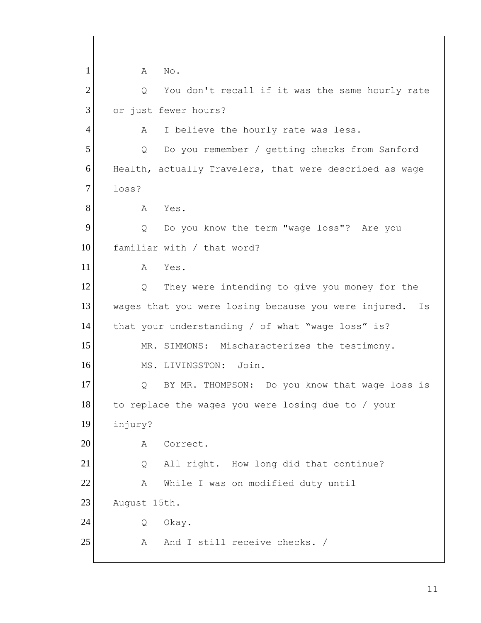1 A No.  $2$  Q You don't recall if it was the same hourly rate 3 or just fewer hours? 4 A I believe the hourly rate was less. 5 Q Do you remember / getting checks from Sanford 6 Health, actually Travelers, that were described as wage 7 loss? 8 A Yes. 9 9 Q Do you know the term "wage loss"? Are you 10 familiar with / that word? 11 A Yes. 12 Q They were intending to give you money for the 13 wages that you were losing because you were injured. Is 14 that your understanding / of what "wage loss" is? 15 MR. SIMMONS: Mischaracterizes the testimony. 16 MS. LIVINGSTON: Join. 17 Q BY MR. THOMPSON: Do you know that wage loss is 18 to replace the wages you were losing due to / your 19 injury? 20 A Correct. 21 Q All right. How long did that continue? 22 A While I was on modified duty until 23 August 15th. 24 Q Okay. 25 A And I still receive checks. /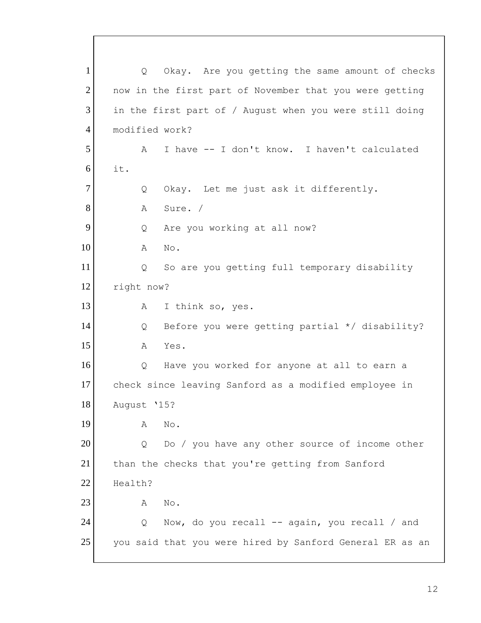1 Q Okay. Are you getting the same amount of checks 2 now in the first part of November that you were getting 3 in the first part of / August when you were still doing 4 modified work? 5 A I have -- I don't know. I haven't calculated 6 it. 7 Q Okay. Let me just ask it differently. 8 A Sure. / 9 Q Are you working at all now? 10 A No. 11 Q So are you getting full temporary disability 12 right now? 13 A I think so, yes. 14 | Q Before you were getting partial \*/ disability? 15 A Yes. 16 O Have you worked for anyone at all to earn a 17 check since leaving Sanford as a modified employee in 18 August '15? 19 A No. 20 Q Do / you have any other source of income other 21 than the checks that you're getting from Sanford 22 Health? 23 A No. 24 | Q Now, do you recall -- again, you recall / and 25 you said that you were hired by Sanford General ER as an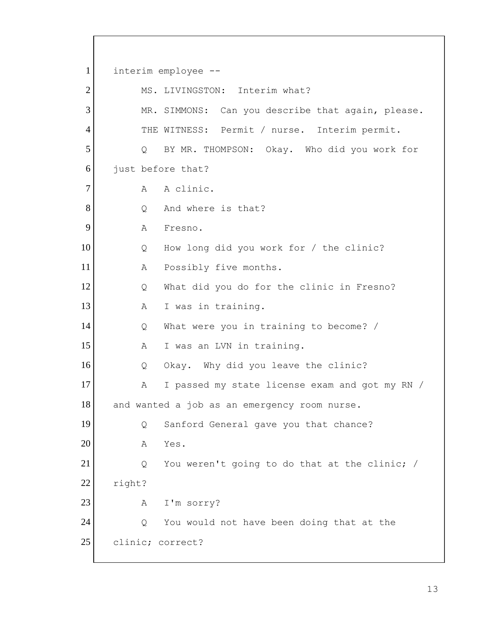1 interim employee -- 2 MS. LIVINGSTON: Interim what? 3 MR. SIMMONS: Can you describe that again, please. 4 THE WITNESS: Permit / nurse. Interim permit. 5 | Q BY MR. THOMPSON: Okay. Who did you work for 6 just before that? 7 A A clinic. 8 Q And where is that? 9 A Fresno. 10 Q How long did you work for / the clinic? 11 A Possibly five months. 12 Q What did you do for the clinic in Fresno? 13 A I was in training. 14 | Q What were you in training to become? / 15 A I was an LVN in training. 16 Q Okay. Why did you leave the clinic? 17 A I passed my state license exam and got my RN / 18 and wanted a job as an emergency room nurse. 19 | Q Sanford General gave you that chance? 20 A Yes. 21 Q You weren't going to do that at the clinic; / 22 right? 23 A I'm sorry? 24 Q You would not have been doing that at the 25 clinic; correct?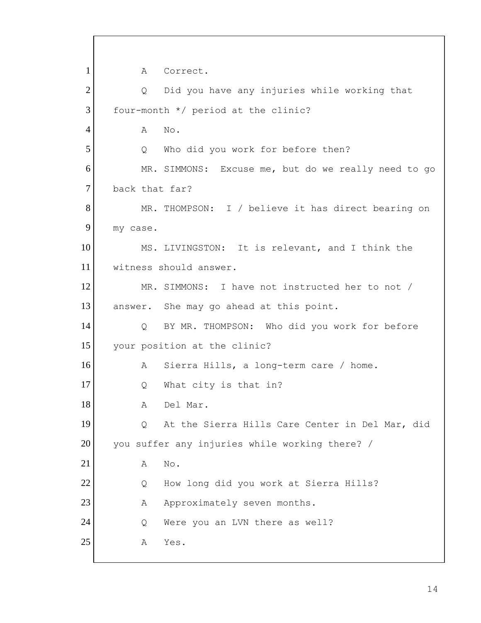1 A Correct. 2 | Q Did you have any injuries while working that  $3$  four-month  $*/$  period at the clinic? 4 A No. 5 Q Who did you work for before then? 6 MR. SIMMONS: Excuse me, but do we really need to go 7 back that far? 8 MR. THOMPSON: I / believe it has direct bearing on 9 my case. 10 MS. LIVINGSTON: It is relevant, and I think the 11 witness should answer. 12 MR. SIMMONS: I have not instructed her to not / 13 answer. She may go ahead at this point. 14 | Q BY MR. THOMPSON: Who did you work for before 15 your position at the clinic? 16 A Sierra Hills, a long-term care / home. 17 Q What city is that in? 18 A Del Mar. 19 | Q At the Sierra Hills Care Center in Del Mar, did 20 you suffer any injuries while working there? / 21 A No. 22 Q How long did you work at Sierra Hills? 23 A Approximately seven months. 24 Q Were you an LVN there as well? 25 A Yes.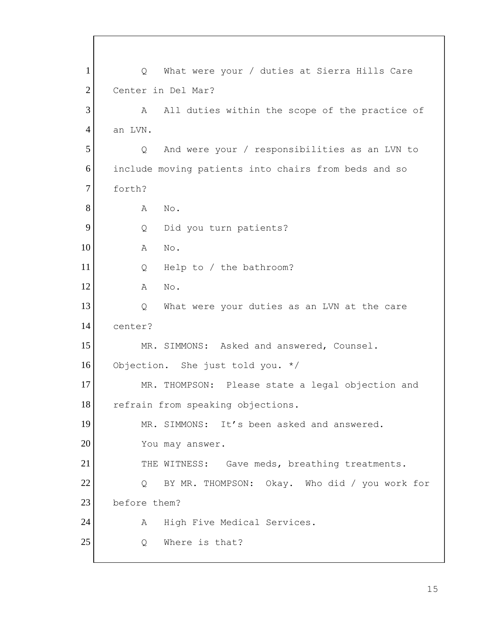1 Q What were your / duties at Sierra Hills Care 2 Center in Del Mar? 3 A All duties within the scope of the practice of 4 an LVN. 5 | Q And were your / responsibilities as an LVN to 6 include moving patients into chairs from beds and so 7 forth? 8 A No. 9 Q Did you turn patients? 10 A No. 11 Q Help to / the bathroom? 12 A No. 13 13 Q What were your duties as an LVN at the care 14 center? 15 MR. SIMMONS: Asked and answered, Counsel. 16 Objection. She just told you. \*/ 17 MR. THOMPSON: Please state a legal objection and 18 refrain from speaking objections. 19 MR. SIMMONS: It's been asked and answered. 20 You may answer. 21 THE WITNESS: Gave meds, breathing treatments. 22 Q BY MR. THOMPSON: Okay. Who did / you work for 23 before them? 24 | A High Five Medical Services. 25 O Where is that?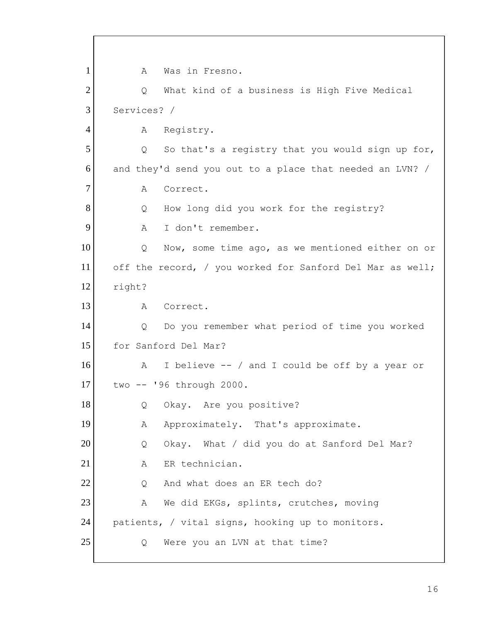1 A Was in Fresno. 2 Q What kind of a business is High Five Medical 3 Services? / 4 A Registry.  $5$  Q So that's a registry that you would sign up for,  $6$  and they'd send you out to a place that needed an LVN? / 7 A Correct. 8 Q How long did you work for the registry? 9 A I don't remember. 10 | Q Now, some time ago, as we mentioned either on or 11 off the record, / you worked for Sanford Del Mar as well; 12 right? 13 A Correct. 14 | Q Do you remember what period of time you worked 15 for Sanford Del Mar? 16 A I believe -- / and I could be off by a year or 17 two -- '96 through 2000. 18 Q Okay. Are you positive? 19 A Approximately. That's approximate. 20 Q Okay. What / did you do at Sanford Del Mar? 21 A ER technician. 22 Q And what does an ER tech do? 23 A We did EKGs, splints, crutches, moving 24 patients, / vital signs, hooking up to monitors. 25 Q Were you an LVN at that time?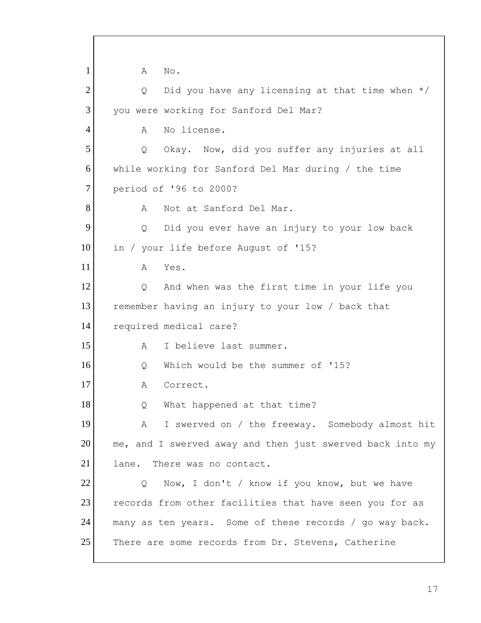1 A No.  $2$  Q Did you have any licensing at that time when  $*/$ 3 you were working for Sanford Del Mar? 4 A No license. 5 | Q Okay. Now, did you suffer any injuries at all 6 while working for Sanford Del Mar during / the time 7 period of '96 to 2000? 8 A Not at Sanford Del Mar. 9 9 Q Did you ever have an injury to your low back 10 in / your life before August of '15? 11 A Yes. 12 Q And when was the first time in your life you 13 remember having an injury to your low / back that 14 required medical care? 15 A I believe last summer. 16 O Which would be the summer of '15? 17 A Correct. 18 | Q What happened at that time? 19 A I swerved on / the freeway. Somebody almost hit  $20$  me, and I swerved away and then just swerved back into my 21 lane. There was no contact. 22 Q Now, I don't / know if you know, but we have 23 records from other facilities that have seen you for as 24 many as ten years. Some of these records / go way back. 25 There are some records from Dr. Stevens, Catherine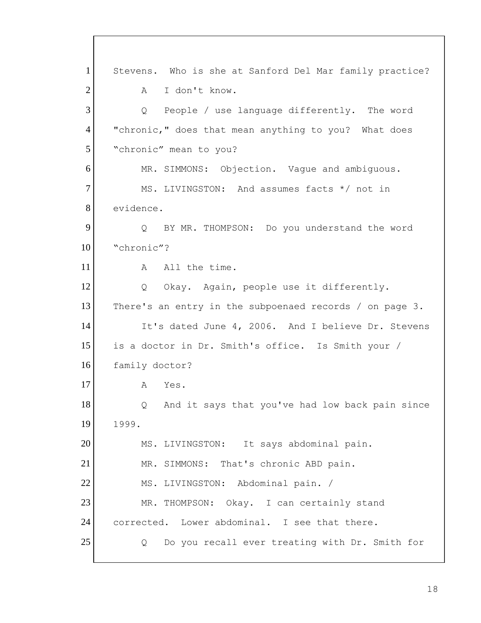1 Stevens. Who is she at Sanford Del Mar family practice? 2 A I don't know. 3 Q People / use language differently. The word 4 | "chronic," does that mean anything to you? What does 5 "chronic" mean to you? 6 MR. SIMMONS: Objection. Vaque and ambiguous. 7 MS. LIVINGSTON: And assumes facts \*/ not in 8 evidence. 9 Q BY MR. THOMPSON: Do you understand the word 10 "chronic"? 11 A All the time. 12 Q Okay. Again, people use it differently. 13 There's an entry in the subpoenaed records / on page 3. 14 It's dated June 4, 2006. And I believe Dr. Stevens 15 is a doctor in Dr. Smith's office. Is Smith your / 16 family doctor? 17 A Yes. 18 | Q And it says that you've had low back pain since 19 1999. 20 MS. LIVINGSTON: It says abdominal pain. 21 MR. SIMMONS: That's chronic ABD pain. 22 MS. LIVINGSTON: Abdominal pain. / 23 MR. THOMPSON: Okay. I can certainly stand 24 corrected. Lower abdominal. I see that there. 25 Q Do you recall ever treating with Dr. Smith for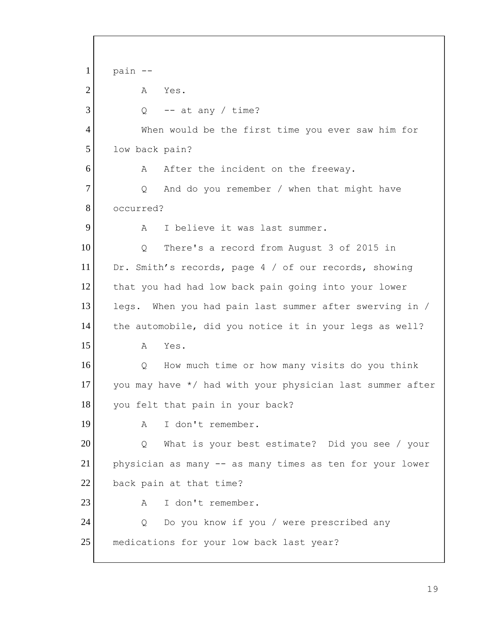$1$  pain  $-$ 2 A Yes.  $3$  Q -- at any / time? 4 When would be the first time you ever saw him for 5 low back pain? 6 A After the incident on the freeway. 7 | Q And do you remember / when that might have 8 occurred? 9 A I believe it was last summer. 10 Q There's a record from August 3 of 2015 in 11 Dr. Smith's records, page 4 / of our records, showing 12 that you had had low back pain going into your lower 13 legs. When you had pain last summer after swerving in / 14 the automobile, did you notice it in your legs as well? 15 A Yes. 16 Q How much time or how many visits do you think 17 you may have  $*/$  had with your physician last summer after 18 you felt that pain in your back? 19 A I don't remember. 20 Q What is your best estimate? Did you see / your 21 physician as many -- as many times as ten for your lower 22 back pain at that time? 23 A I don't remember. 24 Q Do you know if you / were prescribed any 25 medications for your low back last year?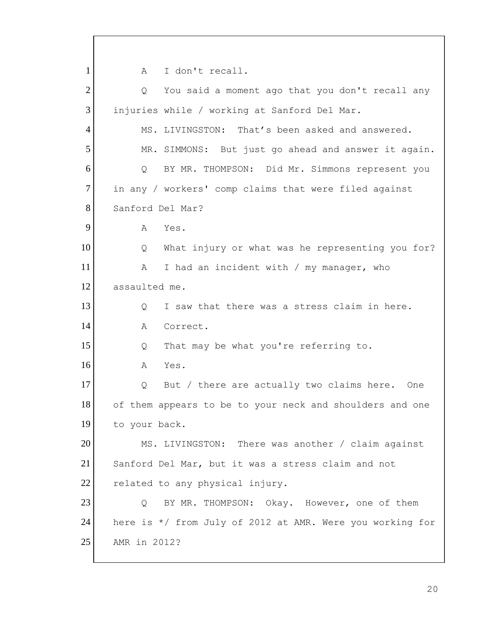1 A I don't recall.  $2$  Q You said a moment ago that you don't recall any 3 injuries while / working at Sanford Del Mar. 4 MS. LIVINGSTON: That's been asked and answered. 5 MR. SIMMONS: But just go ahead and answer it again. 6 Q BY MR. THOMPSON: Did Mr. Simmons represent you 7 in any / workers' comp claims that were filed against 8 Sanford Del Mar?  $9$  A Yes. 10 Q What injury or what was he representing you for? 11 A I had an incident with / my manager, who 12 assaulted me. 13 O I saw that there was a stress claim in here. 14 A Correct. 15 | Q That may be what you're referring to. 16 A Yes. 17 Q But / there are actually two claims here. One 18 of them appears to be to your neck and shoulders and one 19 to your back. 20 MS. LIVINGSTON: There was another / claim against 21 Sanford Del Mar, but it was a stress claim and not 22 related to any physical injury. 23 Q BY MR. THOMPSON: Okay. However, one of them 24 here is \*/ from July of 2012 at AMR. Were you working for 25 AMR in 2012?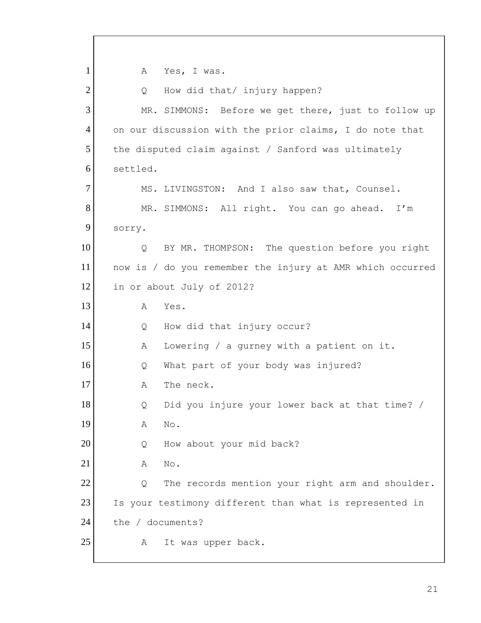1 A Yes, I was. 2 Q How did that/ injury happen? 3 MR. SIMMONS: Before we get there, just to follow up 4 on our discussion with the prior claims, I do note that 5 the disputed claim against / Sanford was ultimately 6 settled. 7 MS. LIVINGSTON: And I also saw that, Counsel. 8 MR. SIMMONS: All right. You can go ahead. I'm 9 sorry. 10 | Q BY MR. THOMPSON: The question before you right 11 now is / do you remember the injury at AMR which occurred 12 in or about July of 2012? 13 A Yes. 14 Q How did that injury occur? 15 A Lowering / a gurney with a patient on it. 16 Q What part of your body was injured? 17 A The neck. 18 | Q Did you injure your lower back at that time? / 19 A No. 20 Q How about your mid back? 21 A No. 22 Q The records mention your right arm and shoulder. 23 Is your testimony different than what is represented in 24 the / documents? 25 A It was upper back.